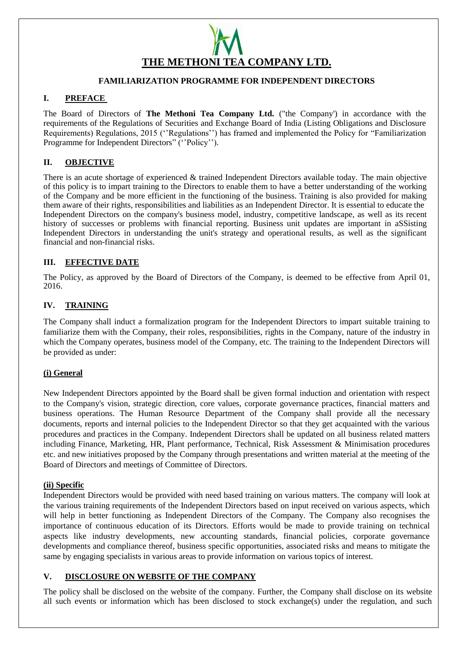# **THE METHONI TEA COMPANY LTD.**

# **FAMILIARIZATION PROGRAMME FOR INDEPENDENT DIRECTORS**

# **I. PREFACE**

The Board of Directors of **The Methoni Tea Company Ltd.** ("the Company') in accordance with the requirements of the Regulations of Securities and Exchange Board of India (Listing Obligations and Disclosure Requirements) Regulations, 2015 (''Regulations'') has framed and implemented the Policy for "Familiarization Programme for Independent Directors" (''Policy'').

# **II. OBJECTIVE**

There is an acute shortage of experienced & trained Independent Directors available today. The main objective of this policy is to impart training to the Directors to enable them to have a better understanding of the working of the Company and be more efficient in the functioning of the business. Training is also provided for making them aware of their rights, responsibilities and liabilities as an Independent Director. It is essential to educate the Independent Directors on the company's business model, industry, competitive landscape, as well as its recent history of successes or problems with financial reporting. Business unit updates are important in aSSisting Independent Directors in understanding the unit's strategy and operational results, as well as the significant financial and non-financial risks.

# **III. EFFECTIVE DATE**

The Policy, as approved by the Board of Directors of the Company, is deemed to be effective from April 01, 2016.

# **IV. TRAINING**

The Company shall induct a formalization program for the Independent Directors to impart suitable training to familiarize them with the Company, their roles, responsibilities, rights in the Company, nature of the industry in which the Company operates, business model of the Company, etc. The training to the Independent Directors will be provided as under:

### **(i) General**

New Independent Directors appointed by the Board shall be given formal induction and orientation with respect to the Company's vision, strategic direction, core values, corporate governance practices, financial matters and business operations. The Human Resource Department of the Company shall provide all the necessary documents, reports and internal policies to the Independent Director so that they get acquainted with the various procedures and practices in the Company. Independent Directors shall be updated on all business related matters including Finance, Marketing, HR, Plant performance, Technical, Risk Assessment & Minimisation procedures etc. and new initiatives proposed by the Company through presentations and written material at the meeting of the Board of Directors and meetings of Committee of Directors.

### **(ii) Specific**

Independent Directors would be provided with need based training on various matters. The company will look at the various training requirements of the Independent Directors based on input received on various aspects, which will help in better functioning as Independent Directors of the Company. The Company also recognises the importance of continuous education of its Directors. Efforts would be made to provide training on technical aspects like industry developments, new accounting standards, financial policies, corporate governance developments and compliance thereof, business specific opportunities, associated risks and means to mitigate the same by engaging specialists in various areas to provide information on various topics of interest.

### **V. DISCLOSURE ON WEBSITE OF THE COMPANY**

The policy shall be disclosed on the website of the company. Further, the Company shall disclose on its website all such events or information which has been disclosed to stock exchange(s) under the regulation, and such